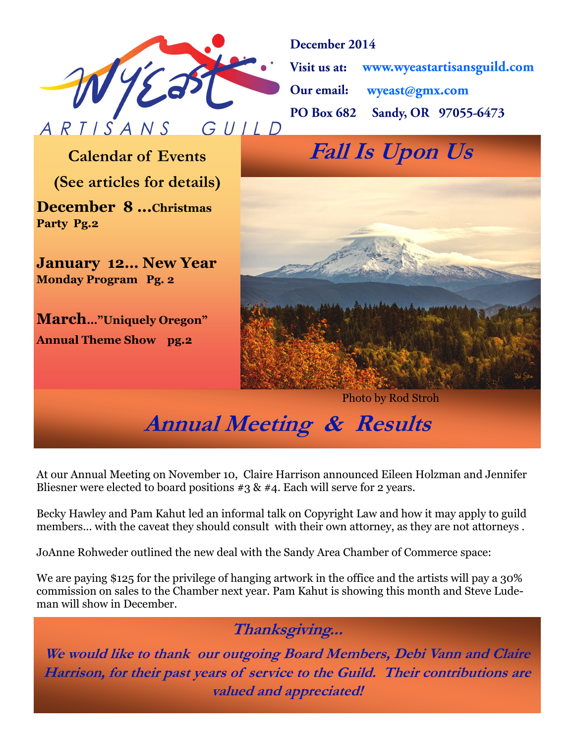

December 2014

www.wyeastartisansguild.com Visit us at: Our email: wyeast@gmx.com Sandy, OR 97055-6473 **PO Box 682** 

**(See articles for details)**

**December 8 ...Christmas Party Pg.2**

**January 12… New Year Monday Program Pg. 2**

**March…"Uniquely Oregon" Annual Theme Show pg.2**

**Calendar of Events Fall Is Upon Us** 



Photo by Rod Stroh

**Annual Meeting & Results**

At our Annual Meeting on November 10, Claire Harrison announced Eileen Holzman and Jennifer Bliesner were elected to board positions  $\#3 \& \#4$ . Each will serve for 2 years.

Becky Hawley and Pam Kahut led an informal talk on Copyright Law and how it may apply to guild members... with the caveat they should consult with their own attorney, as they are not attorneys .

JoAnne Rohweder outlined the new deal with the Sandy Area Chamber of Commerce space:

We are paying \$125 for the privilege of hanging artwork in the office and the artists will pay a 30% commission on sales to the Chamber next year. Pam Kahut is showing this month and Steve Ludeman will show in December.

**Thanksgiving...**

**We would like to thank our outgoing Board Members, Debi Vann and Claire Harrison, for their past years of service to the Guild. Their contributions are valued and appreciated!**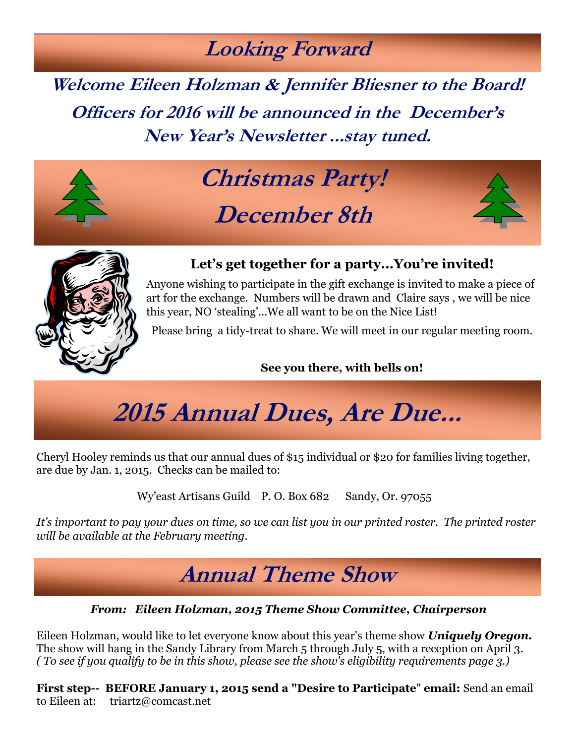### **Looking Forward**

**Welcome Eileen Holzman & Jennifer Bliesner to the Board! Officers for 2016 will be announced in the December's New Year's Newsletter ...stay tuned.**



# **Christmas Party! December 8th**





### **Let's get together for a party...You're invited!**

Anyone wishing to participate in the gift exchange is invited to make a piece of art for the exchange. Numbers will be drawn and Claire says , we will be nice this year, NO 'stealing'...We all want to be on the Nice List!

Please bring a tidy-treat to share. We will meet in our regular meeting room.

#### **See you there, with bells on!**

# **2015 Annual Dues, Are Due...**

Cheryl Hooley reminds us that our annual dues of \$15 individual or \$20 for families living together, are due by Jan. 1, 2015. Checks can be mailed to:

Wy'east Artisans Guild P.O. Box 682 Sandy, Or. 97055

*It's important to pay your dues on time, so we can list you in our printed roster. The printed roster will be available at the February meeting.*

## **Annual Theme Show**

#### *From: Eileen Holzman, 2015 Theme Show Committee, Chairperson*

Eileen Holzman, would like to let everyone know about this year's theme show *Uniquely Oregon.*  The show will hang in the Sandy Library from March 5 through July 5, with a reception on April 3*. ( To see if you qualify to be in this show, please see the show's eligibility requirements page 3.)*

**First step-- BEFORE January 1, 2015 send a "Desire to Participate**" **email:** Send an email to Eileen at: triartz@comcast.net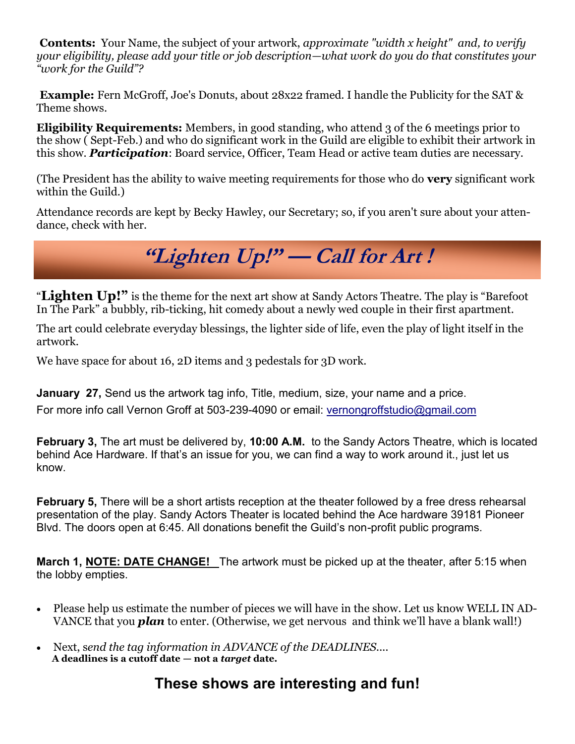**Contents:** Your Name, the subject of your artwork, *approximate "width x height" and, to verify your eligibility, please add your title or job description—what work do you do that constitutes your "work for the Guild"?*

**Example:** Fern McGroff, Joe's Donuts, about 28x22 framed. I handle the Publicity for the SAT & Theme shows.

**Eligibility Requirements:** Members, in good standing, who attend 3 of the 6 meetings prior to the show ( Sept-Feb.) and who do significant work in the Guild are eligible to exhibit their artwork in this show. *Participation*: Board service, Officer, Team Head or active team duties are necessary.

(The President has the ability to waive meeting requirements for those who do **very** significant work within the Guild.)

Attendance records are kept by Becky Hawley, our Secretary; so, if you aren't sure about your attendance, check with her.

**"Lighten Up!" — Call for Art !**

"**Lighten Up!"** is the theme for the next art show at Sandy Actors Theatre. The play is "Barefoot In The Park" a bubbly, rib-ticking, hit comedy about a newly wed couple in their first apartment.

The art could celebrate everyday blessings, the lighter side of life, even the play of light itself in the artwork.

We have space for about 16, 2D items and 3 pedestals for 3D work.

**January 27, Send us the artwork tag info, Title, medium, size, your name and a price.** For more info call Vernon Groff at 503-239-4090 or email: [vernongroffstudio@gmail.com](mailto:vernongroffstudio@gmail.com)

**February 3,** The art must be delivered by, **10:00 A.M.** to the Sandy Actors Theatre, which is located behind Ace Hardware. If that's an issue for you, we can find a way to work around it., just let us know.

**February 5,** There will be a short artists reception at the theater followed by a free dress rehearsal presentation of the play. Sandy Actors Theater is located behind the Ace hardware 39181 Pioneer Blvd. The doors open at 6:45. All donations benefit the Guild's non-profit public programs.

**March 1, NOTE: DATE CHANGE!** The artwork must be picked up at the theater, after 5:15 when the lobby empties.

- Please help us estimate the number of pieces we will have in the show. Let us know WELL IN AD-VANCE that you *plan* to enter. (Otherwise, we get nervous and think we'll have a blank wall!)
- Next, s*end the tag information in ADVANCE of the DEADLINES....* **A deadlines is a cutoff date — not a** *target* **date.**

### **These shows are interesting and fun!**